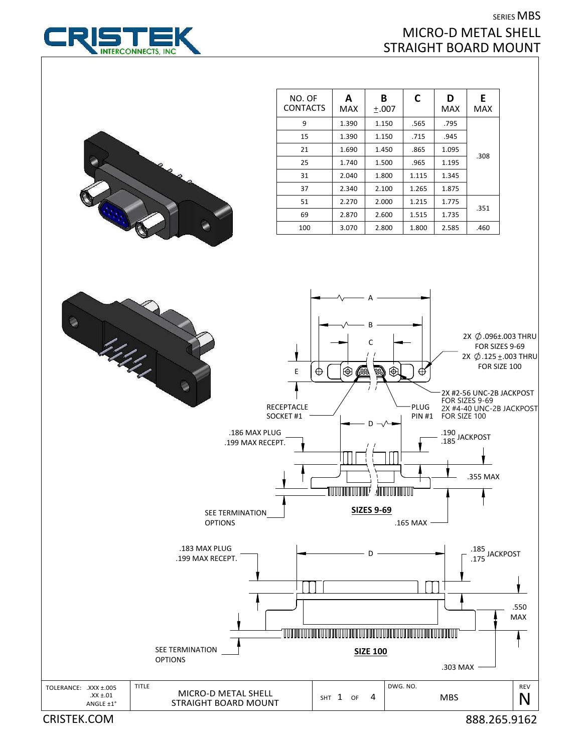## SERIES MBS MICRO‐D METAL SHELL STRAIGHT BOARD MOUNT



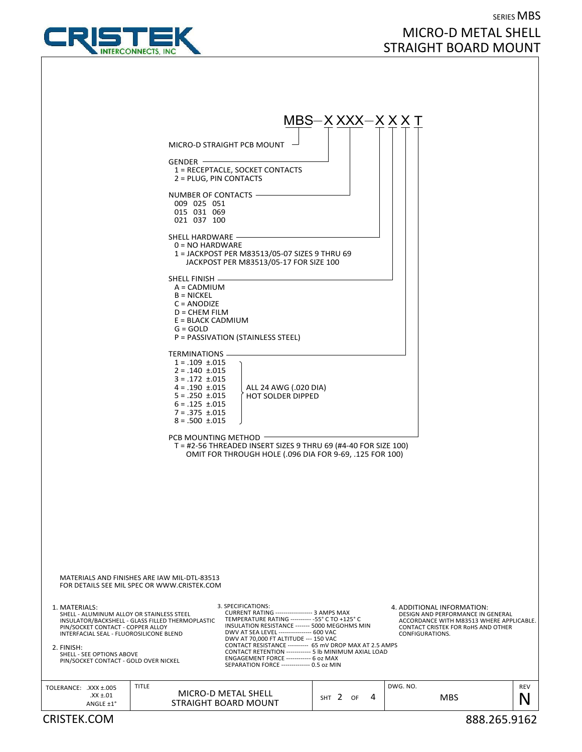

## SERIES MBS MICRO‐D METAL SHELL STRAIGHT BOARD MOUNT

| $MBS-X XXX-X XX T$<br>MICRO-D STRAIGHT PCB MOUNT<br>$GENDER$ $-$<br>1 = RECEPTACLE, SOCKET CONTACTS<br>2 = PLUG, PIN CONTACTS<br>NUMBER OF CONTACTS -<br>009 025 051<br>015 031 069<br>021 037 100<br>SHELL HARDWARE -<br>$0 = NO HARDWARE$<br>1 = JACKPOST PER M83513/05-07 SIZES 9 THRU 69<br>JACKPOST PER M83513/05-17 FOR SIZE 100<br>SHELL FINISH -<br>$A = CADMIUM$<br>$B = NICKEL$<br>$C = ANODIZE$<br>$D = CHEM$ FILM<br>$E = BLACK CADMIUM$<br>$G = GOLD$<br>P = PASSIVATION (STAINLESS STEEL)<br>TERMINATIONS -<br>$1 = .109 \pm .015$<br>$2 = .140 \pm .015$<br>$3 = .172 \pm .015$<br>$4 = .190 \pm .015$<br>  ALL 24 AWG (.020 DIA)<br>$5 = .250 \pm .015$<br><b>HOT SOLDER DIPPED</b><br>$6 = .125 \pm .015$<br>$7 = .375 \pm .015$<br>$8 = .500 \pm .015$<br>PCB MOUNTING METHOD<br>T = #2-56 THREADED INSERT SIZES 9 THRU 69 (#4-40 FOR SIZE 100)<br>OMIT FOR THROUGH HOLE (.096 DIA FOR 9-69, .125 FOR 100)               |  |  |  |  |
|--------------------------------------------------------------------------------------------------------------------------------------------------------------------------------------------------------------------------------------------------------------------------------------------------------------------------------------------------------------------------------------------------------------------------------------------------------------------------------------------------------------------------------------------------------------------------------------------------------------------------------------------------------------------------------------------------------------------------------------------------------------------------------------------------------------------------------------------------------------------------------------------------------------------------------------------|--|--|--|--|
|                                                                                                                                                                                                                                                                                                                                                                                                                                                                                                                                                                                                                                                                                                                                                                                                                                                                                                                                            |  |  |  |  |
|                                                                                                                                                                                                                                                                                                                                                                                                                                                                                                                                                                                                                                                                                                                                                                                                                                                                                                                                            |  |  |  |  |
|                                                                                                                                                                                                                                                                                                                                                                                                                                                                                                                                                                                                                                                                                                                                                                                                                                                                                                                                            |  |  |  |  |
|                                                                                                                                                                                                                                                                                                                                                                                                                                                                                                                                                                                                                                                                                                                                                                                                                                                                                                                                            |  |  |  |  |
|                                                                                                                                                                                                                                                                                                                                                                                                                                                                                                                                                                                                                                                                                                                                                                                                                                                                                                                                            |  |  |  |  |
|                                                                                                                                                                                                                                                                                                                                                                                                                                                                                                                                                                                                                                                                                                                                                                                                                                                                                                                                            |  |  |  |  |
|                                                                                                                                                                                                                                                                                                                                                                                                                                                                                                                                                                                                                                                                                                                                                                                                                                                                                                                                            |  |  |  |  |
|                                                                                                                                                                                                                                                                                                                                                                                                                                                                                                                                                                                                                                                                                                                                                                                                                                                                                                                                            |  |  |  |  |
|                                                                                                                                                                                                                                                                                                                                                                                                                                                                                                                                                                                                                                                                                                                                                                                                                                                                                                                                            |  |  |  |  |
|                                                                                                                                                                                                                                                                                                                                                                                                                                                                                                                                                                                                                                                                                                                                                                                                                                                                                                                                            |  |  |  |  |
|                                                                                                                                                                                                                                                                                                                                                                                                                                                                                                                                                                                                                                                                                                                                                                                                                                                                                                                                            |  |  |  |  |
|                                                                                                                                                                                                                                                                                                                                                                                                                                                                                                                                                                                                                                                                                                                                                                                                                                                                                                                                            |  |  |  |  |
| MATERIALS AND FINISHES ARE IAW MIL-DTL-83513<br>FOR DETAILS SEE MIL SPEC OR WWW.CRISTEK.COM                                                                                                                                                                                                                                                                                                                                                                                                                                                                                                                                                                                                                                                                                                                                                                                                                                                |  |  |  |  |
| 3. SPECIFICATIONS:<br>4. ADDITIONAL INFORMATION:<br>1. MATERIALS:<br>CURRENT RATING ------------------ 3 AMPS MAX<br>SHELL - ALUMINUM ALLOY OR STAINLESS STEEL<br>DESIGN AND PERFORMANCE IN GENERAL<br>TEMPERATURE RATING ---------- - 55° C TO +125° C<br>INSULATOR/BACKSHELL - GLASS FILLED THERMOPLASTIC<br>ACCORDANCE WITH M83513 WHERE APPLICABLE.<br>INSULATION RESISTANCE ------- 5000 MEGOHMS MIN<br>PIN/SOCKET CONTACT - COPPER ALLOY<br>CONTACT CRISTEK FOR RoHS AND OTHER<br>DWV AT SEA LEVEL ---------------- 600 VAC<br>INTERFACIAL SEAL - FLUOROSILICONE BLEND<br>CONFIGURATIONS.<br>DWV AT 70,000 FT ALTITUDE --- 150 VAC<br>CONTACT RESISTANCE ---------- 65 mV DROP MAX AT 2.5 AMPS<br>2. FINISH:<br>CONTACT RETENTION ------------ 5 lb MINIMUM AXIAL LOAD<br>SHELL - SEE OPTIONS ABOVE<br>ENGAGEMENT FORCE ------------ 6 oz MAX<br>PIN/SOCKET CONTACT - GOLD OVER NICKEL<br>SEPARATION FORCE -------------- 0.5 oz MIN |  |  |  |  |
| <b>TITLE</b><br>DWG. NO.<br>REV<br>TOLERANCE: .XXX ±.005<br>MICRO-D METAL SHELL<br>$XX \pm .01$<br>SHT 2 OF<br>4<br><b>MBS</b><br>N                                                                                                                                                                                                                                                                                                                                                                                                                                                                                                                                                                                                                                                                                                                                                                                                        |  |  |  |  |
| STRAIGHT BOARD MOUNT<br>ANGLE ±1°<br><b>CRISTEK.COM</b><br>888.265.9162                                                                                                                                                                                                                                                                                                                                                                                                                                                                                                                                                                                                                                                                                                                                                                                                                                                                    |  |  |  |  |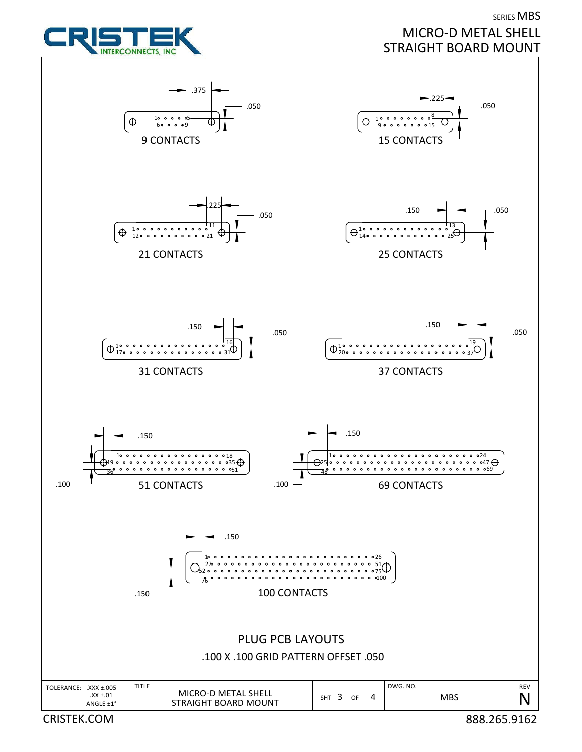